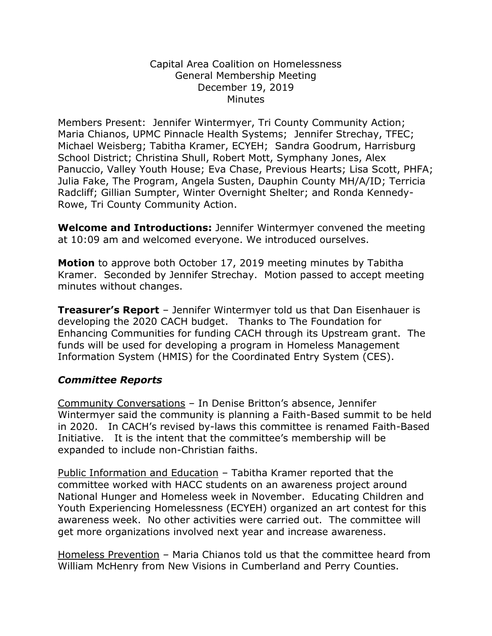## Capital Area Coalition on Homelessness General Membership Meeting December 19, 2019 **Minutes**

Members Present: Jennifer Wintermyer, Tri County Community Action; Maria Chianos, UPMC Pinnacle Health Systems; Jennifer Strechay, TFEC; Michael Weisberg; Tabitha Kramer, ECYEH; Sandra Goodrum, Harrisburg School District; Christina Shull, Robert Mott, Symphany Jones, Alex Panuccio, Valley Youth House; Eva Chase, Previous Hearts; Lisa Scott, PHFA; Julia Fake, The Program, Angela Susten, Dauphin County MH/A/ID; Terricia Radcliff; Gillian Sumpter, Winter Overnight Shelter; and Ronda Kennedy-Rowe, Tri County Community Action.

**Welcome and Introductions:** Jennifer Wintermyer convened the meeting at 10:09 am and welcomed everyone. We introduced ourselves.

**Motion** to approve both October 17, 2019 meeting minutes by Tabitha Kramer. Seconded by Jennifer Strechay. Motion passed to accept meeting minutes without changes.

**Treasurer's Report** – Jennifer Wintermyer told us that Dan Eisenhauer is developing the 2020 CACH budget. Thanks to The Foundation for Enhancing Communities for funding CACH through its Upstream grant. The funds will be used for developing a program in Homeless Management Information System (HMIS) for the Coordinated Entry System (CES).

## *Committee Reports*

Community Conversations – In Denise Britton's absence, Jennifer Wintermyer said the community is planning a Faith-Based summit to be held in 2020. In CACH's revised by-laws this committee is renamed Faith-Based Initiative. It is the intent that the committee's membership will be expanded to include non-Christian faiths.

Public Information and Education – Tabitha Kramer reported that the committee worked with HACC students on an awareness project around National Hunger and Homeless week in November. Educating Children and Youth Experiencing Homelessness (ECYEH) organized an art contest for this awareness week. No other activities were carried out. The committee will get more organizations involved next year and increase awareness.

Homeless Prevention *–* Maria Chianos told us that the committee heard from William McHenry from New Visions in Cumberland and Perry Counties.